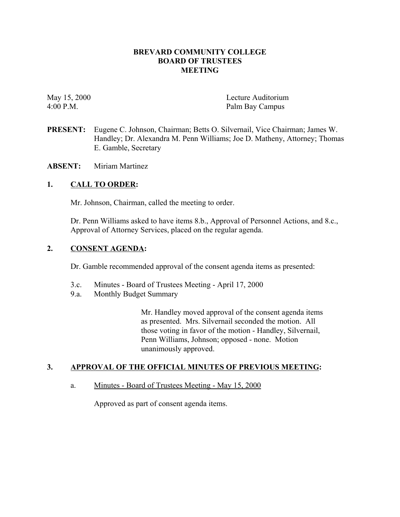## **BREVARD COMMUNITY COLLEGE BOARD OF TRUSTEES MEETING**

May 15, 2000<br>4:00 P.M. Palm Bav Campus Palm Bay Campus

- **PRESENT:** Eugene C. Johnson, Chairman; Betts O. Silvernail, Vice Chairman; James W. Handley; Dr. Alexandra M. Penn Williams; Joe D. Matheny, Attorney; Thomas E. Gamble, Secretary
- **ABSENT:** Miriam Martinez

## **1. CALL TO ORDER:**

Mr. Johnson, Chairman, called the meeting to order.

Dr. Penn Williams asked to have items 8.b., Approval of Personnel Actions, and 8.c., Approval of Attorney Services, placed on the regular agenda.

## **2. CONSENT AGENDA:**

Dr. Gamble recommended approval of the consent agenda items as presented:

- 3.c. Minutes Board of Trustees Meeting April 17, 2000
- 9.a. Monthly Budget Summary

Mr. Handley moved approval of the consent agenda items as presented. Mrs. Silvernail seconded the motion. All those voting in favor of the motion - Handley, Silvernail, Penn Williams, Johnson; opposed - none. Motion unanimously approved.

## **3. APPROVAL OF THE OFFICIAL MINUTES OF PREVIOUS MEETING:**

a. Minutes - Board of Trustees Meeting - May 15, 2000

Approved as part of consent agenda items.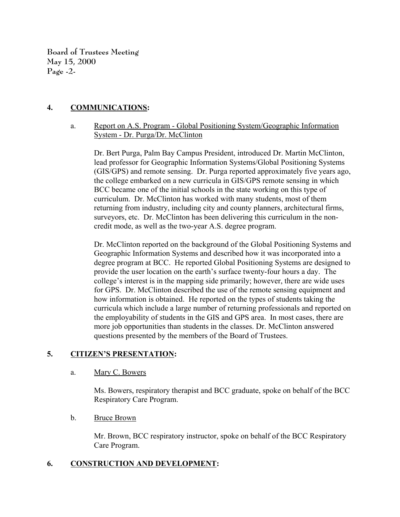**Board of Trustees Meeting May 15, 2000 Page -2-**

# **4. COMMUNICATIONS:**

# a. Report on A.S. Program - Global Positioning System/Geographic Information System - Dr. Purga/Dr. McClinton

Dr. Bert Purga, Palm Bay Campus President, introduced Dr. Martin McClinton, lead professor for Geographic Information Systems/Global Positioning Systems (GIS/GPS) and remote sensing. Dr. Purga reported approximately five years ago, the college embarked on a new curricula in GIS/GPS remote sensing in which BCC became one of the initial schools in the state working on this type of curriculum. Dr. McClinton has worked with many students, most of them returning from industry, including city and county planners, architectural firms, surveyors, etc. Dr. McClinton has been delivering this curriculum in the noncredit mode, as well as the two-year A.S. degree program.

Dr. McClinton reported on the background of the Global Positioning Systems and Geographic Information Systems and described how it was incorporated into a degree program at BCC. He reported Global Positioning Systems are designed to provide the user location on the earth's surface twenty-four hours a day. The college's interest is in the mapping side primarily; however, there are wide uses for GPS. Dr. McClinton described the use of the remote sensing equipment and how information is obtained. He reported on the types of students taking the curricula which include a large number of returning professionals and reported on the employability of students in the GIS and GPS area. In most cases, there are more job opportunities than students in the classes. Dr. McClinton answered questions presented by the members of the Board of Trustees.

# **5. CITIZEN'S PRESENTATION:**

a. Mary C. Bowers

Ms. Bowers, respiratory therapist and BCC graduate, spoke on behalf of the BCC Respiratory Care Program.

## b. Bruce Brown

Mr. Brown, BCC respiratory instructor, spoke on behalf of the BCC Respiratory Care Program.

## **6. CONSTRUCTION AND DEVELOPMENT:**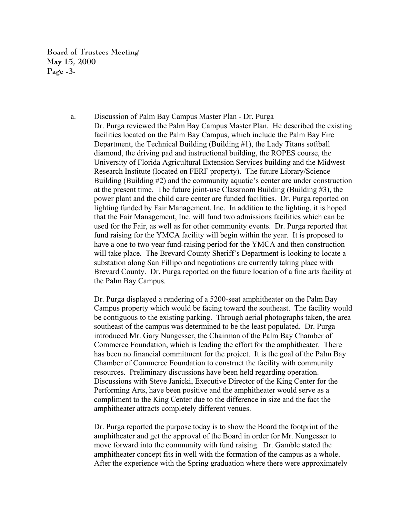**Board of Trustees Meeting May 15, 2000 Page -3-**

a. Discussion of Palm Bay Campus Master Plan - Dr. Purga

Dr. Purga reviewed the Palm Bay Campus Master Plan. He described the existing facilities located on the Palm Bay Campus, which include the Palm Bay Fire Department, the Technical Building (Building #1), the Lady Titans softball diamond, the driving pad and instructional building, the ROPES course, the University of Florida Agricultural Extension Services building and the Midwest Research Institute (located on FERF property). The future Library/Science Building (Building #2) and the community aquatic's center are under construction at the present time. The future joint-use Classroom Building (Building #3), the power plant and the child care center are funded facilities. Dr. Purga reported on lighting funded by Fair Management, Inc. In addition to the lighting, it is hoped that the Fair Management, Inc. will fund two admissions facilities which can be used for the Fair, as well as for other community events. Dr. Purga reported that fund raising for the YMCA facility will begin within the year. It is proposed to have a one to two year fund-raising period for the YMCA and then construction will take place. The Brevard County Sheriff's Department is looking to locate a substation along San Fillipo and negotiations are currently taking place with Brevard County. Dr. Purga reported on the future location of a fine arts facility at the Palm Bay Campus.

Dr. Purga displayed a rendering of a 5200-seat amphitheater on the Palm Bay Campus property which would be facing toward the southeast. The facility would be contiguous to the existing parking. Through aerial photographs taken, the area southeast of the campus was determined to be the least populated. Dr. Purga introduced Mr. Gary Nungesser, the Chairman of the Palm Bay Chamber of Commerce Foundation, which is leading the effort for the amphitheater. There has been no financial commitment for the project. It is the goal of the Palm Bay Chamber of Commerce Foundation to construct the facility with community resources. Preliminary discussions have been held regarding operation. Discussions with Steve Janicki, Executive Director of the King Center for the Performing Arts, have been positive and the amphitheater would serve as a compliment to the King Center due to the difference in size and the fact the amphitheater attracts completely different venues.

Dr. Purga reported the purpose today is to show the Board the footprint of the amphitheater and get the approval of the Board in order for Mr. Nungesser to move forward into the community with fund raising. Dr. Gamble stated the amphitheater concept fits in well with the formation of the campus as a whole. After the experience with the Spring graduation where there were approximately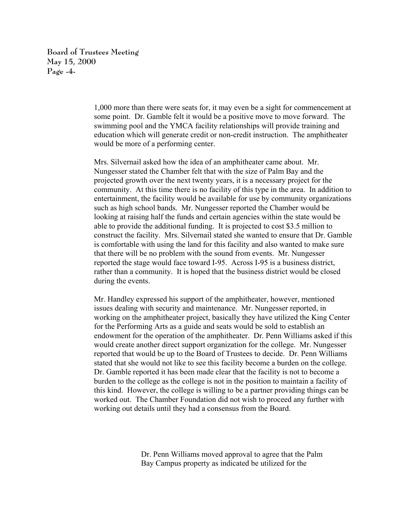**Board of Trustees Meeting May 15, 2000 Page -4-**

> 1,000 more than there were seats for, it may even be a sight for commencement at some point. Dr. Gamble felt it would be a positive move to move forward. The swimming pool and the YMCA facility relationships will provide training and education which will generate credit or non-credit instruction. The amphitheater would be more of a performing center.

> Mrs. Silvernail asked how the idea of an amphitheater came about. Mr. Nungesser stated the Chamber felt that with the size of Palm Bay and the projected growth over the next twenty years, it is a necessary project for the community. At this time there is no facility of this type in the area. In addition to entertainment, the facility would be available for use by community organizations such as high school bands. Mr. Nungesser reported the Chamber would be looking at raising half the funds and certain agencies within the state would be able to provide the additional funding. It is projected to cost \$3.5 million to construct the facility. Mrs. Silvernail stated she wanted to ensure that Dr. Gamble is comfortable with using the land for this facility and also wanted to make sure that there will be no problem with the sound from events. Mr. Nungesser reported the stage would face toward I-95. Across I-95 is a business district, rather than a community. It is hoped that the business district would be closed during the events.

> Mr. Handley expressed his support of the amphitheater, however, mentioned issues dealing with security and maintenance. Mr. Nungesser reported, in working on the amphitheater project, basically they have utilized the King Center for the Performing Arts as a guide and seats would be sold to establish an endowment for the operation of the amphitheater. Dr. Penn Williams asked if this would create another direct support organization for the college. Mr. Nungesser reported that would be up to the Board of Trustees to decide. Dr. Penn Williams stated that she would not like to see this facility become a burden on the college. Dr. Gamble reported it has been made clear that the facility is not to become a burden to the college as the college is not in the position to maintain a facility of this kind. However, the college is willing to be a partner providing things can be worked out. The Chamber Foundation did not wish to proceed any further with working out details until they had a consensus from the Board.

> > Dr. Penn Williams moved approval to agree that the Palm Bay Campus property as indicated be utilized for the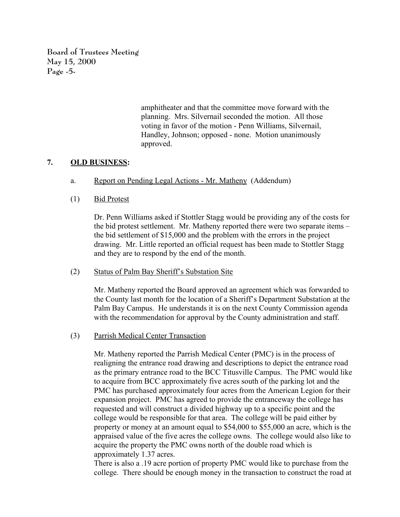**Board of Trustees Meeting May 15, 2000 Page -5-**

> amphitheater and that the committee move forward with the planning. Mrs. Silvernail seconded the motion. All those voting in favor of the motion - Penn Williams, Silvernail, Handley, Johnson; opposed - none. Motion unanimously approved.

## **7. OLD BUSINESS:**

- a. Report on Pending Legal Actions Mr. Matheny (Addendum)
- (1) Bid Protest

Dr. Penn Williams asked if Stottler Stagg would be providing any of the costs for the bid protest settlement. Mr. Matheny reported there were two separate items – the bid settlement of \$15,000 and the problem with the errors in the project drawing. Mr. Little reported an official request has been made to Stottler Stagg and they are to respond by the end of the month.

## (2) Status of Palm Bay Sheriff's Substation Site

Mr. Matheny reported the Board approved an agreement which was forwarded to the County last month for the location of a Sheriff's Department Substation at the Palm Bay Campus. He understands it is on the next County Commission agenda with the recommendation for approval by the County administration and staff.

(3) Parrish Medical Center Transaction

Mr. Matheny reported the Parrish Medical Center (PMC) is in the process of realigning the entrance road drawing and descriptions to depict the entrance road as the primary entrance road to the BCC Titusville Campus. The PMC would like to acquire from BCC approximately five acres south of the parking lot and the PMC has purchased approximately four acres from the American Legion for their expansion project. PMC has agreed to provide the entranceway the college has requested and will construct a divided highway up to a specific point and the college would be responsible for that area. The college will be paid either by property or money at an amount equal to \$54,000 to \$55,000 an acre, which is the appraised value of the five acres the college owns. The college would also like to acquire the property the PMC owns north of the double road which is approximately 1.37 acres.

There is also a .19 acre portion of property PMC would like to purchase from the college. There should be enough money in the transaction to construct the road at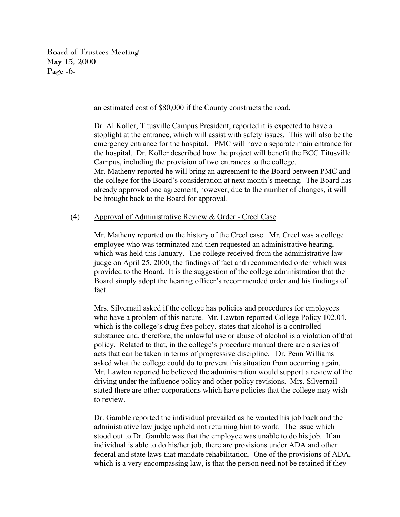**Board of Trustees Meeting May 15, 2000 Page -6-**

an estimated cost of \$80,000 if the County constructs the road.

Dr. Al Koller, Titusville Campus President, reported it is expected to have a stoplight at the entrance, which will assist with safety issues. This will also be the emergency entrance for the hospital. PMC will have a separate main entrance for the hospital. Dr. Koller described how the project will benefit the BCC Titusville Campus, including the provision of two entrances to the college. Mr. Matheny reported he will bring an agreement to the Board between PMC and the college for the Board's consideration at next month's meeting. The Board has already approved one agreement, however, due to the number of changes, it will be brought back to the Board for approval.

## (4) Approval of Administrative Review & Order - Creel Case

Mr. Matheny reported on the history of the Creel case. Mr. Creel was a college employee who was terminated and then requested an administrative hearing, which was held this January. The college received from the administrative law judge on April 25, 2000, the findings of fact and recommended order which was provided to the Board. It is the suggestion of the college administration that the Board simply adopt the hearing officer's recommended order and his findings of fact.

Mrs. Silvernail asked if the college has policies and procedures for employees who have a problem of this nature. Mr. Lawton reported College Policy 102.04, which is the college's drug free policy, states that alcohol is a controlled substance and, therefore, the unlawful use or abuse of alcohol is a violation of that policy. Related to that, in the college's procedure manual there are a series of acts that can be taken in terms of progressive discipline. Dr. Penn Williams asked what the college could do to prevent this situation from occurring again. Mr. Lawton reported he believed the administration would support a review of the driving under the influence policy and other policy revisions. Mrs. Silvernail stated there are other corporations which have policies that the college may wish to review.

Dr. Gamble reported the individual prevailed as he wanted his job back and the administrative law judge upheld not returning him to work. The issue which stood out to Dr. Gamble was that the employee was unable to do his job. If an individual is able to do his/her job, there are provisions under ADA and other federal and state laws that mandate rehabilitation. One of the provisions of ADA, which is a very encompassing law, is that the person need not be retained if they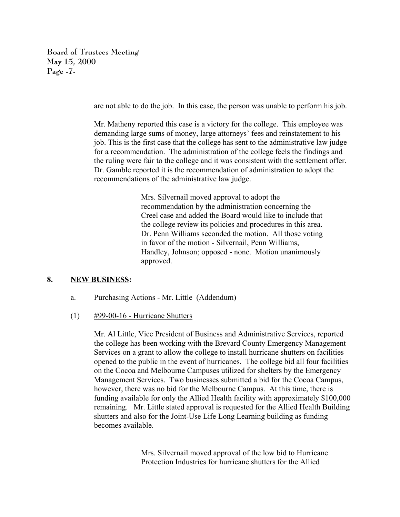**Board of Trustees Meeting May 15, 2000 Page -7-**

are not able to do the job. In this case, the person was unable to perform his job.

Mr. Matheny reported this case is a victory for the college. This employee was demanding large sums of money, large attorneys' fees and reinstatement to his job. This is the first case that the college has sent to the administrative law judge for a recommendation. The administration of the college feels the findings and the ruling were fair to the college and it was consistent with the settlement offer. Dr. Gamble reported it is the recommendation of administration to adopt the recommendations of the administrative law judge.

> Mrs. Silvernail moved approval to adopt the recommendation by the administration concerning the Creel case and added the Board would like to include that the college review its policies and procedures in this area. Dr. Penn Williams seconded the motion. All those voting in favor of the motion - Silvernail, Penn Williams, Handley, Johnson; opposed - none. Motion unanimously approved.

## **8. NEW BUSINESS:**

- a. Purchasing Actions Mr. Little (Addendum)
- (1) #99-00-16 Hurricane Shutters

Mr. Al Little, Vice President of Business and Administrative Services, reported the college has been working with the Brevard County Emergency Management Services on a grant to allow the college to install hurricane shutters on facilities opened to the public in the event of hurricanes. The college bid all four facilities on the Cocoa and Melbourne Campuses utilized for shelters by the Emergency Management Services. Two businesses submitted a bid for the Cocoa Campus, however, there was no bid for the Melbourne Campus. At this time, there is funding available for only the Allied Health facility with approximately \$100,000 remaining. Mr. Little stated approval is requested for the Allied Health Building shutters and also for the Joint-Use Life Long Learning building as funding becomes available.

> Mrs. Silvernail moved approval of the low bid to Hurricane Protection Industries for hurricane shutters for the Allied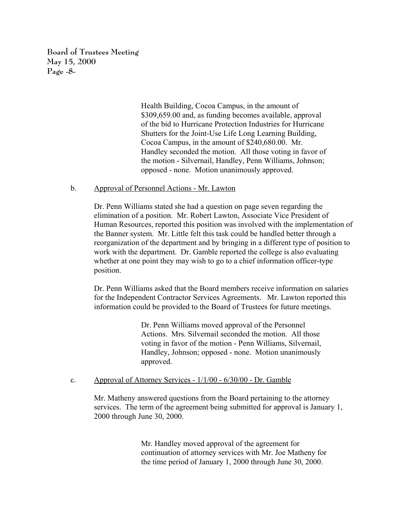**Board of Trustees Meeting May 15, 2000 Page -8-**

> Health Building, Cocoa Campus, in the amount of \$309,659.00 and, as funding becomes available, approval of the bid to Hurricane Protection Industries for Hurricane Shutters for the Joint-Use Life Long Learning Building, Cocoa Campus, in the amount of \$240,680.00. Mr. Handley seconded the motion. All those voting in favor of the motion - Silvernail, Handley, Penn Williams, Johnson; opposed - none. Motion unanimously approved.

#### b. Approval of Personnel Actions - Mr. Lawton

Dr. Penn Williams stated she had a question on page seven regarding the elimination of a position. Mr. Robert Lawton, Associate Vice President of Human Resources, reported this position was involved with the implementation of the Banner system. Mr. Little felt this task could be handled better through a reorganization of the department and by bringing in a different type of position to work with the department. Dr. Gamble reported the college is also evaluating whether at one point they may wish to go to a chief information officer-type position.

Dr. Penn Williams asked that the Board members receive information on salaries for the Independent Contractor Services Agreements. Mr. Lawton reported this information could be provided to the Board of Trustees for future meetings.

> Dr. Penn Williams moved approval of the Personnel Actions. Mrs. Silvernail seconded the motion. All those voting in favor of the motion - Penn Williams, Silvernail, Handley, Johnson; opposed - none. Motion unanimously approved.

## c. Approval of Attorney Services - 1/1/00 - 6/30/00 - Dr. Gamble

Mr. Matheny answered questions from the Board pertaining to the attorney services. The term of the agreement being submitted for approval is January 1, 2000 through June 30, 2000.

> Mr. Handley moved approval of the agreement for continuation of attorney services with Mr. Joe Matheny for the time period of January 1, 2000 through June 30, 2000.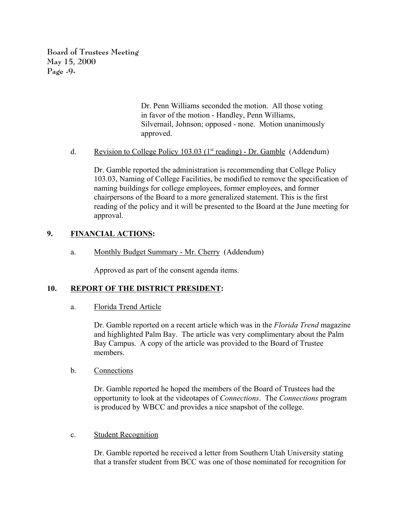**Board of Trustees Meeting May 15, 2000 Page -9-**

> Dr. Penn Williams seconded the motion. All those voting in favor of the motion - Handley, Penn Williams, Silvernail, Johnson; opposed - none. Motion unanimously approved.

d. Revision to College Policy 103.03 ( $1<sup>st</sup>$  reading) - Dr. Gamble (Addendum)

Dr. Gamble reported the administration is recommending that College Policy 103.03, Naming of College Facilities, be modified to remove the specification of naming buildings for college employees, former employees, and former chairpersons of the Board to a more generalized statement. This is the first reading of the policy and it will be presented to the Board at the June meeting for approval.

## **9. FINANCIAL ACTIONS:**

a. Monthly Budget Summary - Mr. Cherry (Addendum)

Approved as part of the consent agenda items.

## **10. REPORT OF THE DISTRICT PRESIDENT:**

a. Florida Trend Article

Dr. Gamble reported on a recent article which was in the *Florida Trend* magazine and highlighted Palm Bay. The article was very complimentary about the Palm Bay Campus. A copy of the article was provided to the Board of Trustee members.

## b. Connections

Dr. Gamble reported he hoped the members of the Board of Trustees had the opportunity to look at the videotapes of *Connections*. The *Connections* program is produced by WBCC and provides a nice snapshot of the college.

## c. Student Recognition

Dr. Gamble reported he received a letter from Southern Utah University stating that a transfer student from BCC was one of those nominated for recognition for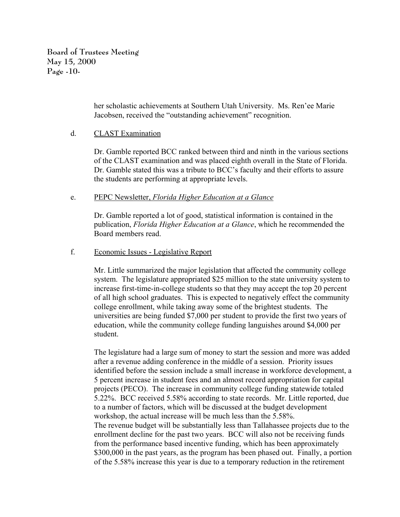**Board of Trustees Meeting May 15, 2000 Page -10-**

> her scholastic achievements at Southern Utah University. Ms. Ren'ee Marie Jacobsen, received the "outstanding achievement" recognition.

## d. CLAST Examination

Dr. Gamble reported BCC ranked between third and ninth in the various sections of the CLAST examination and was placed eighth overall in the State of Florida. Dr. Gamble stated this was a tribute to BCC's faculty and their efforts to assure the students are performing at appropriate levels.

## e. PEPC Newsletter, *Florida Higher Education at a Glance*

Dr. Gamble reported a lot of good, statistical information is contained in the publication, *Florida Higher Education at a Glance*, which he recommended the Board members read.

# f. Economic Issues - Legislative Report

Mr. Little summarized the major legislation that affected the community college system. The legislature appropriated \$25 million to the state university system to increase first-time-in-college students so that they may accept the top 20 percent of all high school graduates. This is expected to negatively effect the community college enrollment, while taking away some of the brightest students. The universities are being funded \$7,000 per student to provide the first two years of education, while the community college funding languishes around \$4,000 per student.

The legislature had a large sum of money to start the session and more was added after a revenue adding conference in the middle of a session. Priority issues identified before the session include a small increase in workforce development, a 5 percent increase in student fees and an almost record appropriation for capital projects (PECO). The increase in community college funding statewide totaled 5.22%. BCC received 5.58% according to state records. Mr. Little reported, due to a number of factors, which will be discussed at the budget development workshop, the actual increase will be much less than the 5.58%. The revenue budget will be substantially less than Tallahassee projects due to the enrollment decline for the past two years. BCC will also not be receiving funds from the performance based incentive funding, which has been approximately \$300,000 in the past years, as the program has been phased out. Finally, a portion of the 5.58% increase this year is due to a temporary reduction in the retirement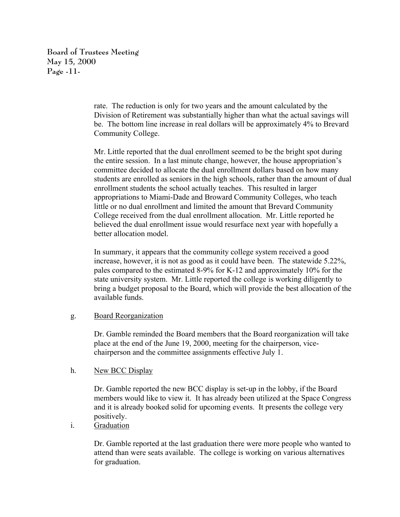**Board of Trustees Meeting May 15, 2000 Page -11-**

> rate. The reduction is only for two years and the amount calculated by the Division of Retirement was substantially higher than what the actual savings will be. The bottom line increase in real dollars will be approximately 4% to Brevard Community College.

> Mr. Little reported that the dual enrollment seemed to be the bright spot during the entire session. In a last minute change, however, the house appropriation's committee decided to allocate the dual enrollment dollars based on how many students are enrolled as seniors in the high schools, rather than the amount of dual enrollment students the school actually teaches. This resulted in larger appropriations to Miami-Dade and Broward Community Colleges, who teach little or no dual enrollment and limited the amount that Brevard Community College received from the dual enrollment allocation. Mr. Little reported he believed the dual enrollment issue would resurface next year with hopefully a better allocation model.

> In summary, it appears that the community college system received a good increase, however, it is not as good as it could have been. The statewide 5.22%, pales compared to the estimated 8-9% for K-12 and approximately 10% for the state university system. Mr. Little reported the college is working diligently to bring a budget proposal to the Board, which will provide the best allocation of the available funds.

## g. Board Reorganization

Dr. Gamble reminded the Board members that the Board reorganization will take place at the end of the June 19, 2000, meeting for the chairperson, vicechairperson and the committee assignments effective July 1.

## h. New BCC Display

Dr. Gamble reported the new BCC display is set-up in the lobby, if the Board members would like to view it. It has already been utilized at the Space Congress and it is already booked solid for upcoming events. It presents the college very positively.

i. Graduation

Dr. Gamble reported at the last graduation there were more people who wanted to attend than were seats available. The college is working on various alternatives for graduation.